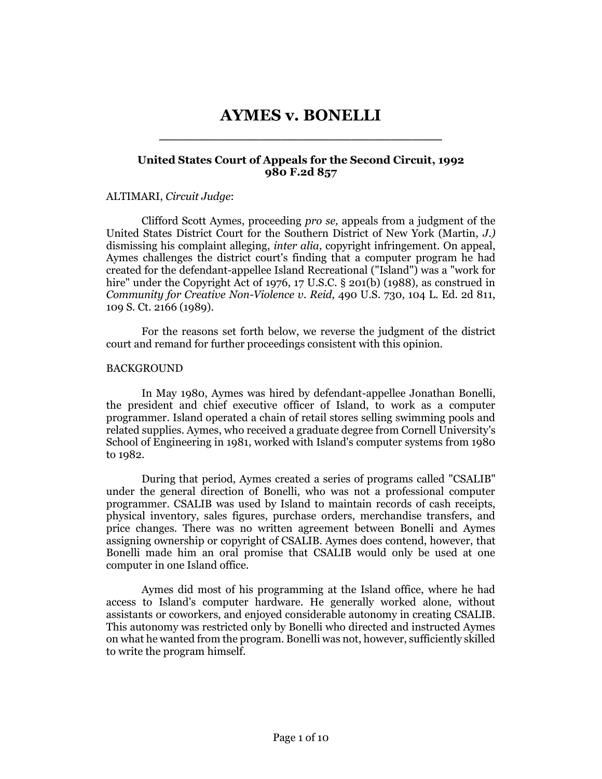# **AYMES v. BONELLI** \_\_\_\_\_\_\_\_\_\_\_\_\_\_\_\_\_\_\_\_\_\_\_\_\_\_\_\_

# **United States Court of Appeals for the Second Circuit, 1992 980 F.2d 857**

### ALTIMARI, *Circuit Judge*:

Clifford Scott Aymes, proceeding *pro se,* appeals from a judgment of the United States District Court for the Southern District of New York (Martin, *J.)* dismissing his complaint alleging, *inter alia,* copyright infringement. On appeal, Aymes challenges the district court's finding that a computer program he had created for the defendant-appellee Island Recreational ("Island") was a "work for hire" under the Copyright Act of 1976, 17 U.S.C. § 201(b) (1988), as construed in *Community for Creative Non-Violence v. Reid,* 490 U.S. 730, 104 L. Ed. 2d 811, 109 S. Ct. 2166 (1989).

For the reasons set forth below, we reverse the judgment of the district court and remand for further proceedings consistent with this opinion.

#### BACKGROUND

In May 1980, Aymes was hired by defendant-appellee Jonathan Bonelli, the president and chief executive officer of Island, to work as a computer programmer. Island operated a chain of retail stores selling swimming pools and related supplies. Aymes, who received a graduate degree from Cornell University's School of Engineering in 1981, worked with Island's computer systems from 1980 to 1982.

During that period, Aymes created a series of programs called "CSALIB" under the general direction of Bonelli, who was not a professional computer programmer. CSALIB was used by Island to maintain records of cash receipts, physical inventory, sales figures, purchase orders, merchandise transfers, and price changes. There was no written agreement between Bonelli and Aymes assigning ownership or copyright of CSALIB. Aymes does contend, however, that Bonelli made him an oral promise that CSALIB would only be used at one computer in one Island office.

Aymes did most of his programming at the Island office, where he had access to Island's computer hardware. He generally worked alone, without assistants or coworkers, and enjoyed considerable autonomy in creating CSALIB. This autonomy was restricted only by Bonelli who directed and instructed Aymes on what he wanted from the program. Bonelli was not, however, sufficiently skilled to write the program himself.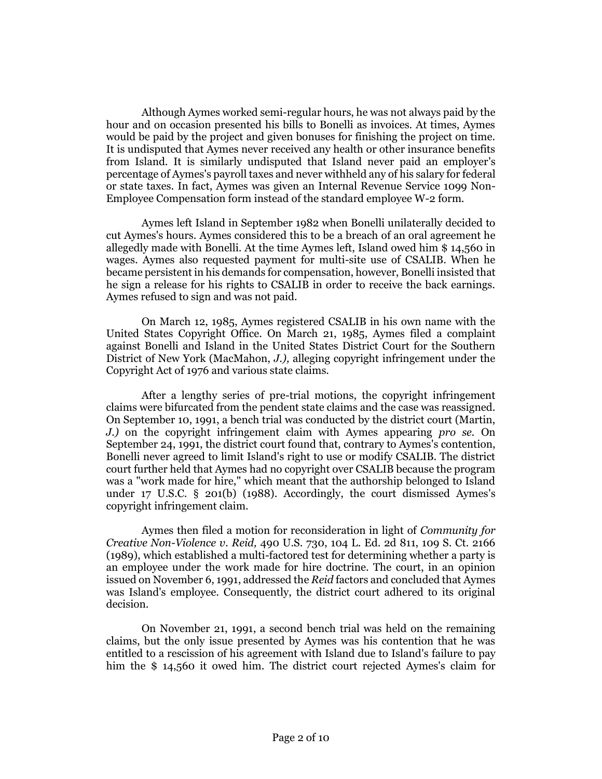Although Aymes worked semi-regular hours, he was not always paid by the hour and on occasion presented his bills to Bonelli as invoices. At times, Aymes would be paid by the project and given bonuses for finishing the project on time. It is undisputed that Aymes never received any health or other insurance benefits from Island. It is similarly undisputed that Island never paid an employer's percentage of Aymes's payroll taxes and never withheld any of his salary for federal or state taxes. In fact, Aymes was given an Internal Revenue Service 1099 Non-Employee Compensation form instead of the standard employee W-2 form.

Aymes left Island in September 1982 when Bonelli unilaterally decided to cut Aymes's hours. Aymes considered this to be a breach of an oral agreement he allegedly made with Bonelli. At the time Aymes left, Island owed him \$ 14,560 in wages. Aymes also requested payment for multi-site use of CSALIB. When he became persistent in his demands for compensation, however, Bonelli insisted that he sign a release for his rights to CSALIB in order to receive the back earnings. Aymes refused to sign and was not paid.

On March 12, 1985, Aymes registered CSALIB in his own name with the United States Copyright Office. On March 21, 1985, Aymes filed a complaint against Bonelli and Island in the United States District Court for the Southern District of New York (MacMahon, *J.),* alleging copyright infringement under the Copyright Act of 1976 and various state claims.

After a lengthy series of pre-trial motions, the copyright infringement claims were bifurcated from the pendent state claims and the case was reassigned. On September 10, 1991, a bench trial was conducted by the district court (Martin, *J.)* on the copyright infringement claim with Aymes appearing *pro se.* On September 24, 1991, the district court found that, contrary to Aymes's contention, Bonelli never agreed to limit Island's right to use or modify CSALIB. The district court further held that Aymes had no copyright over CSALIB because the program was a "work made for hire," which meant that the authorship belonged to Island under 17 U.S.C. § 201(b) (1988). Accordingly, the court dismissed Aymes's copyright infringement claim.

Aymes then filed a motion for reconsideration in light of *Community for Creative Non-Violence v. Reid,* 490 U.S. 730, 104 L. Ed. 2d 811, 109 S. Ct. 2166 (1989), which established a multi-factored test for determining whether a party is an employee under the work made for hire doctrine. The court, in an opinion issued on November 6, 1991, addressed the *Reid* factors and concluded that Aymes was Island's employee. Consequently, the district court adhered to its original decision.

On November 21, 1991, a second bench trial was held on the remaining claims, but the only issue presented by Aymes was his contention that he was entitled to a rescission of his agreement with Island due to Island's failure to pay him the \$ 14,560 it owed him. The district court rejected Aymes's claim for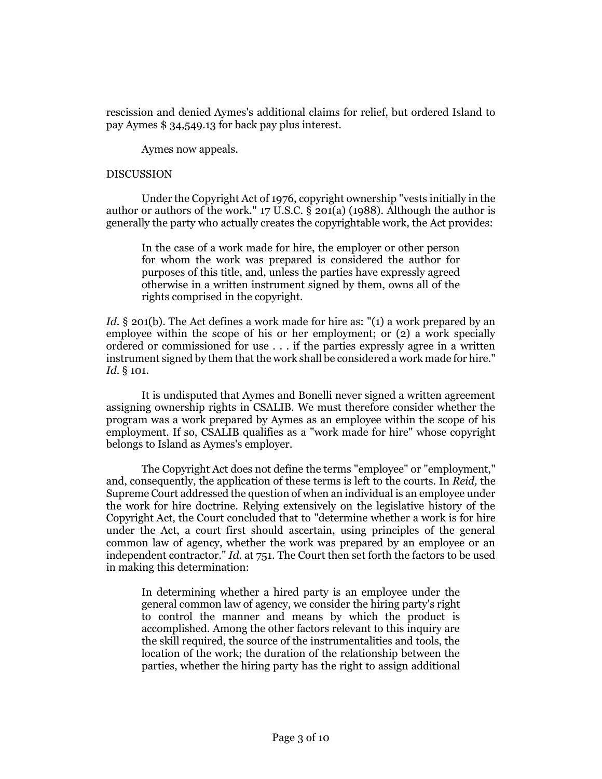rescission and denied Aymes's additional claims for relief, but ordered Island to pay Aymes \$ 34,549.13 for back pay plus interest.

Aymes now appeals.

#### DISCUSSION

Under the Copyright Act of 1976, copyright ownership "vests initially in the author or authors of the work." 17 U.S.C. § 201(a) (1988). Although the author is generally the party who actually creates the copyrightable work, the Act provides:

In the case of a work made for hire, the employer or other person for whom the work was prepared is considered the author for purposes of this title, and, unless the parties have expressly agreed otherwise in a written instrument signed by them, owns all of the rights comprised in the copyright.

*Id.* § 201(b). The Act defines a work made for hire as: "(1) a work prepared by an employee within the scope of his or her employment; or (2) a work specially ordered or commissioned for use . . . if the parties expressly agree in a written instrument signed by them that the work shall be considered a work made for hire." *Id.* § 101.

It is undisputed that Aymes and Bonelli never signed a written agreement assigning ownership rights in CSALIB. We must therefore consider whether the program was a work prepared by Aymes as an employee within the scope of his employment. If so, CSALIB qualifies as a "work made for hire" whose copyright belongs to Island as Aymes's employer.

The Copyright Act does not define the terms "employee" or "employment," and, consequently, the application of these terms is left to the courts. In *Reid,* the Supreme Court addressed the question of when an individual is an employee under the work for hire doctrine. Relying extensively on the legislative history of the Copyright Act, the Court concluded that to "determine whether a work is for hire under the Act, a court first should ascertain, using principles of the general common law of agency, whether the work was prepared by an employee or an independent contractor." *Id.* at 751. The Court then set forth the factors to be used in making this determination:

In determining whether a hired party is an employee under the general common law of agency, we consider the hiring party's right to control the manner and means by which the product is accomplished. Among the other factors relevant to this inquiry are the skill required, the source of the instrumentalities and tools, the location of the work; the duration of the relationship between the parties, whether the hiring party has the right to assign additional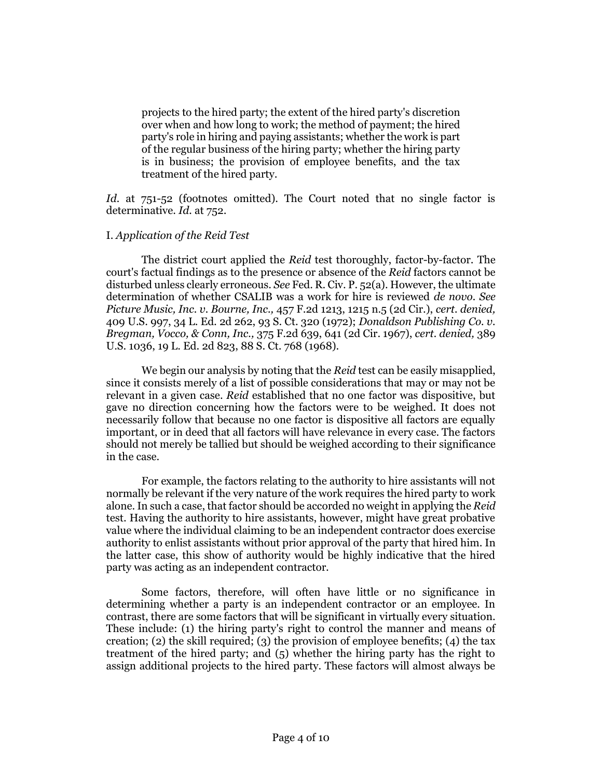projects to the hired party; the extent of the hired party's discretion over when and how long to work; the method of payment; the hired party's role in hiring and paying assistants; whether the work is part of the regular business of the hiring party; whether the hiring party is in business; the provision of employee benefits, and the tax treatment of the hired party.

Id. at  $751-52$  (footnotes omitted). The Court noted that no single factor is determinative. *Id.* at 752.

# I. *Application of the Reid Test*

The district court applied the *Reid* test thoroughly, factor-by-factor. The court's factual findings as to the presence or absence of the *Reid* factors cannot be disturbed unless clearly erroneous. *See* Fed. R. Civ. P. 52(a). However, the ultimate determination of whether CSALIB was a work for hire is reviewed *de novo. See Picture Music, Inc. v. Bourne, Inc.,* 457 F.2d 1213, 1215 n.5 (2d Cir.), *cert. denied,* 409 U.S. 997, 34 L. Ed. 2d 262, 93 S. Ct. 320 (1972); *Donaldson Publishing Co. v. Bregman, Vocco, & Conn, Inc.,* 375 F.2d 639, 641 (2d Cir. 1967), *cert. denied,* 389 U.S. 1036, 19 L. Ed. 2d 823, 88 S. Ct. 768 (1968).

We begin our analysis by noting that the *Reid* test can be easily misapplied, since it consists merely of a list of possible considerations that may or may not be relevant in a given case. *Reid* established that no one factor was dispositive, but gave no direction concerning how the factors were to be weighed. It does not necessarily follow that because no one factor is dispositive all factors are equally important, or in deed that all factors will have relevance in every case. The factors should not merely be tallied but should be weighed according to their significance in the case.

For example, the factors relating to the authority to hire assistants will not normally be relevant if the very nature of the work requires the hired party to work alone. In such a case, that factor should be accorded no weight in applying the *Reid* test. Having the authority to hire assistants, however, might have great probative value where the individual claiming to be an independent contractor does exercise authority to enlist assistants without prior approval of the party that hired him. In the latter case, this show of authority would be highly indicative that the hired party was acting as an independent contractor.

Some factors, therefore, will often have little or no significance in determining whether a party is an independent contractor or an employee. In contrast, there are some factors that will be significant in virtually every situation. These include: (1) the hiring party's right to control the manner and means of creation; (2) the skill required; (3) the provision of employee benefits; (4) the tax treatment of the hired party; and (5) whether the hiring party has the right to assign additional projects to the hired party. These factors will almost always be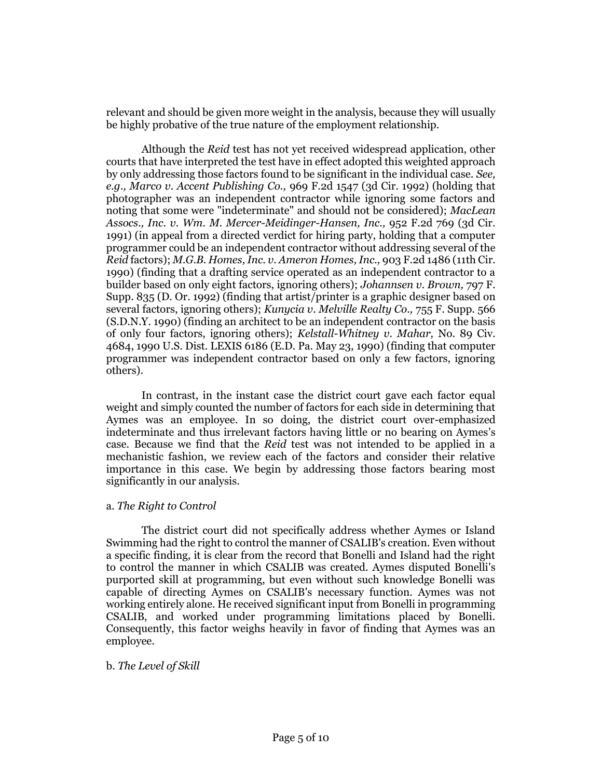relevant and should be given more weight in the analysis, because they will usually be highly probative of the true nature of the employment relationship.

Although the *Reid* test has not yet received widespread application, other courts that have interpreted the test have in effect adopted this weighted approach by only addressing those factors found to be significant in the individual case. *See, e.g., Marco v. Accent Publishing Co.,* 969 F.2d 1547 (3d Cir. 1992) (holding that photographer was an independent contractor while ignoring some factors and noting that some were "indeterminate" and should not be considered); *MacLean Assocs., Inc. v. Wm. M. Mercer-Meidinger-Hansen, Inc.,* 952 F.2d 769 (3d Cir. 1991) (in appeal from a directed verdict for hiring party, holding that a computer programmer could be an independent contractor without addressing several of the *Reid* factors); *M.G.B. Homes, Inc. v. Ameron Homes, Inc.,* 903 F.2d 1486 (11th Cir. 1990) (finding that a drafting service operated as an independent contractor to a builder based on only eight factors, ignoring others); *Johannsen v. Brown,* 797 F. Supp. 835 (D. Or. 1992) (finding that artist/printer is a graphic designer based on several factors, ignoring others); *Kunycia v. Melville Realty Co.,* 755 F. Supp. 566 (S.D.N.Y. 1990) (finding an architect to be an independent contractor on the basis of only four factors, ignoring others); *Kelstall-Whitney v. Mahar,* No. 89 Civ. 4684, 1990 U.S. Dist. LEXIS 6186 (E.D. Pa. May 23, 1990) (finding that computer programmer was independent contractor based on only a few factors, ignoring others).

In contrast, in the instant case the district court gave each factor equal weight and simply counted the number of factors for each side in determining that Aymes was an employee. In so doing, the district court over-emphasized indeterminate and thus irrelevant factors having little or no bearing on Aymes's case. Because we find that the *Reid* test was not intended to be applied in a mechanistic fashion, we review each of the factors and consider their relative importance in this case. We begin by addressing those factors bearing most significantly in our analysis.

# a. *The Right to Control*

The district court did not specifically address whether Aymes or Island Swimming had the right to control the manner of CSALIB's creation. Even without a specific finding, it is clear from the record that Bonelli and Island had the right to control the manner in which CSALIB was created. Aymes disputed Bonelli's purported skill at programming, but even without such knowledge Bonelli was capable of directing Aymes on CSALIB's necessary function. Aymes was not working entirely alone. He received significant input from Bonelli in programming CSALIB, and worked under programming limitations placed by Bonelli. Consequently, this factor weighs heavily in favor of finding that Aymes was an employee.

# b. *The Level of Skill*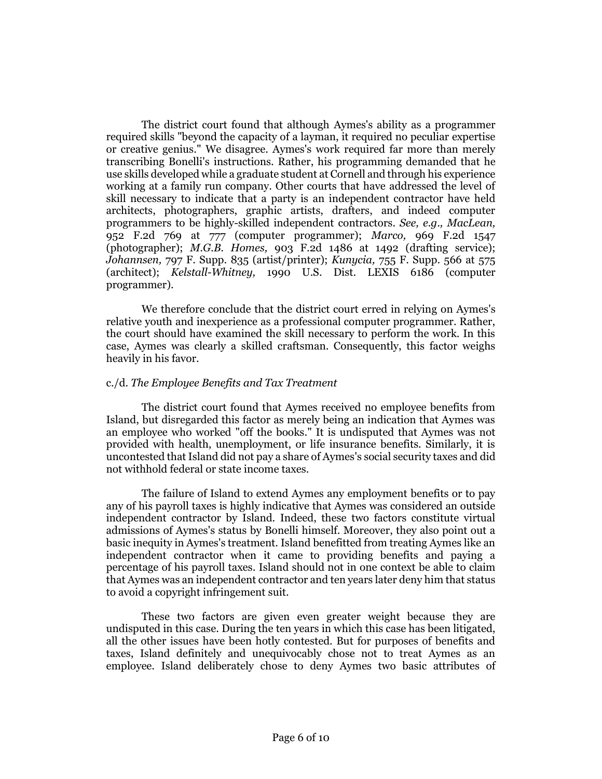The district court found that although Aymes's ability as a programmer required skills "beyond the capacity of a layman, it required no peculiar expertise or creative genius." We disagree. Aymes's work required far more than merely transcribing Bonelli's instructions. Rather, his programming demanded that he use skills developed while a graduate student at Cornell and through his experience working at a family run company. Other courts that have addressed the level of skill necessary to indicate that a party is an independent contractor have held architects, photographers, graphic artists, drafters, and indeed computer programmers to be highly-skilled independent contractors. *See, e.g., MacLean,* 952 F.2d 769 at 777 (computer programmer); *Marco,* 969 F.2d 1547 (photographer); *M.G.B. Homes,* 903 F.2d 1486 at 1492 (drafting service); *Johannsen,* 797 F. Supp. 835 (artist/printer); *Kunycia,* 755 F. Supp. 566 at 575 (architect); *Kelstall-Whitney,* 1990 U.S. Dist. LEXIS 6186 (computer programmer).

We therefore conclude that the district court erred in relying on Aymes's relative youth and inexperience as a professional computer programmer. Rather, the court should have examined the skill necessary to perform the work. In this case, Aymes was clearly a skilled craftsman. Consequently, this factor weighs heavily in his favor.

#### c./d. *The Employee Benefits and Tax Treatment*

The district court found that Aymes received no employee benefits from Island, but disregarded this factor as merely being an indication that Aymes was an employee who worked "off the books." It is undisputed that Aymes was not provided with health, unemployment, or life insurance benefits. Similarly, it is uncontested that Island did not pay a share of Aymes's social security taxes and did not withhold federal or state income taxes.

The failure of Island to extend Aymes any employment benefits or to pay any of his payroll taxes is highly indicative that Aymes was considered an outside independent contractor by Island. Indeed, these two factors constitute virtual admissions of Aymes's status by Bonelli himself. Moreover, they also point out a basic inequity in Aymes's treatment. Island benefitted from treating Aymes like an independent contractor when it came to providing benefits and paying a percentage of his payroll taxes. Island should not in one context be able to claim that Aymes was an independent contractor and ten years later deny him that status to avoid a copyright infringement suit.

These two factors are given even greater weight because they are undisputed in this case. During the ten years in which this case has been litigated, all the other issues have been hotly contested. But for purposes of benefits and taxes, Island definitely and unequivocably chose not to treat Aymes as an employee. Island deliberately chose to deny Aymes two basic attributes of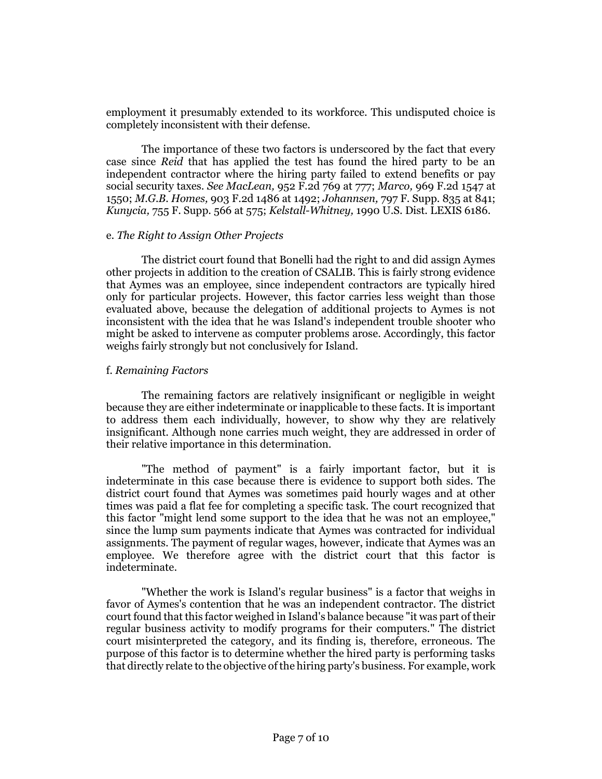employment it presumably extended to its workforce. This undisputed choice is completely inconsistent with their defense.

The importance of these two factors is underscored by the fact that every case since *Reid* that has applied the test has found the hired party to be an independent contractor where the hiring party failed to extend benefits or pay social security taxes. *See MacLean,* 952 F.2d 769 at 777; *Marco,* 969 F.2d 1547 at 1550; *M.G.B. Homes,* 903 F.2d 1486 at 1492; *Johannsen,* 797 F. Supp. 835 at 841; *Kunycia,* 755 F. Supp. 566 at 575; *Kelstall-Whitney,* 1990 U.S. Dist. LEXIS 6186.

#### e. *The Right to Assign Other Projects*

The district court found that Bonelli had the right to and did assign Aymes other projects in addition to the creation of CSALIB. This is fairly strong evidence that Aymes was an employee, since independent contractors are typically hired only for particular projects. However, this factor carries less weight than those evaluated above, because the delegation of additional projects to Aymes is not inconsistent with the idea that he was Island's independent trouble shooter who might be asked to intervene as computer problems arose. Accordingly, this factor weighs fairly strongly but not conclusively for Island.

# f. *Remaining Factors*

The remaining factors are relatively insignificant or negligible in weight because they are either indeterminate or inapplicable to these facts. It is important to address them each individually, however, to show why they are relatively insignificant. Although none carries much weight, they are addressed in order of their relative importance in this determination.

"The method of payment" is a fairly important factor, but it is indeterminate in this case because there is evidence to support both sides. The district court found that Aymes was sometimes paid hourly wages and at other times was paid a flat fee for completing a specific task. The court recognized that this factor "might lend some support to the idea that he was not an employee," since the lump sum payments indicate that Aymes was contracted for individual assignments. The payment of regular wages, however, indicate that Aymes was an employee. We therefore agree with the district court that this factor is indeterminate.

"Whether the work is Island's regular business" is a factor that weighs in favor of Aymes's contention that he was an independent contractor. The district court found that this factor weighed in Island's balance because "it was part of their regular business activity to modify programs for their computers." The district court misinterpreted the category, and its finding is, therefore, erroneous. The purpose of this factor is to determine whether the hired party is performing tasks that directly relate to the objective of the hiring party's business. For example, work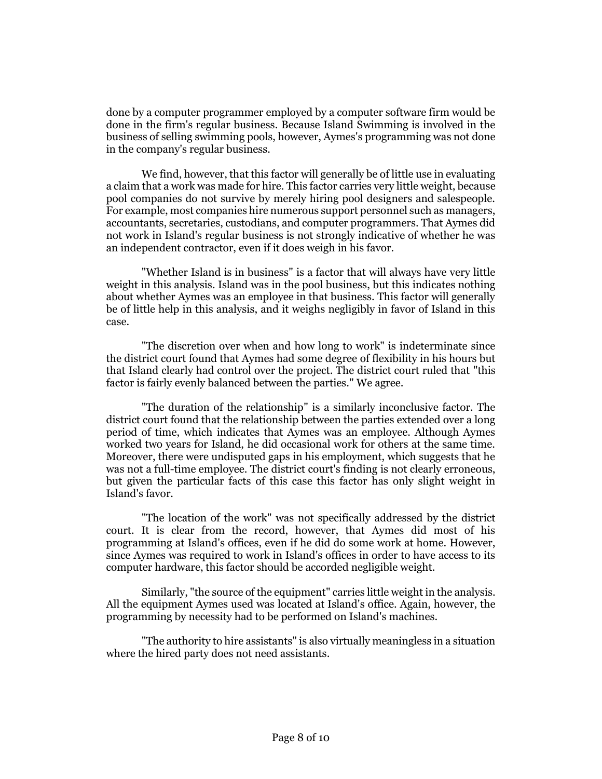done by a computer programmer employed by a computer software firm would be done in the firm's regular business. Because Island Swimming is involved in the business of selling swimming pools, however, Aymes's programming was not done in the company's regular business.

We find, however, that this factor will generally be of little use in evaluating a claim that a work was made for hire. This factor carries very little weight, because pool companies do not survive by merely hiring pool designers and salespeople. For example, most companies hire numerous support personnel such as managers, accountants, secretaries, custodians, and computer programmers. That Aymes did not work in Island's regular business is not strongly indicative of whether he was an independent contractor, even if it does weigh in his favor.

"Whether Island is in business" is a factor that will always have very little weight in this analysis. Island was in the pool business, but this indicates nothing about whether Aymes was an employee in that business. This factor will generally be of little help in this analysis, and it weighs negligibly in favor of Island in this case.

"The discretion over when and how long to work" is indeterminate since the district court found that Aymes had some degree of flexibility in his hours but that Island clearly had control over the project. The district court ruled that "this factor is fairly evenly balanced between the parties." We agree.

"The duration of the relationship" is a similarly inconclusive factor. The district court found that the relationship between the parties extended over a long period of time, which indicates that Aymes was an employee. Although Aymes worked two years for Island, he did occasional work for others at the same time. Moreover, there were undisputed gaps in his employment, which suggests that he was not a full-time employee. The district court's finding is not clearly erroneous, but given the particular facts of this case this factor has only slight weight in Island's favor.

"The location of the work" was not specifically addressed by the district court. It is clear from the record, however, that Aymes did most of his programming at Island's offices, even if he did do some work at home. However, since Aymes was required to work in Island's offices in order to have access to its computer hardware, this factor should be accorded negligible weight.

Similarly, "the source of the equipment" carries little weight in the analysis. All the equipment Aymes used was located at Island's office. Again, however, the programming by necessity had to be performed on Island's machines.

"The authority to hire assistants" is also virtually meaningless in a situation where the hired party does not need assistants.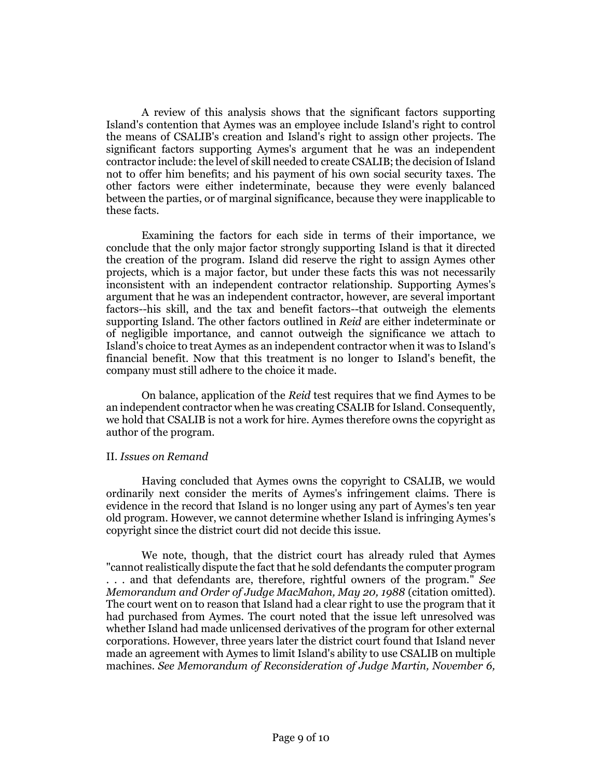A review of this analysis shows that the significant factors supporting Island's contention that Aymes was an employee include Island's right to control the means of CSALIB's creation and Island's right to assign other projects. The significant factors supporting Aymes's argument that he was an independent contractor include: the level of skill needed to create CSALIB; the decision of Island not to offer him benefits; and his payment of his own social security taxes. The other factors were either indeterminate, because they were evenly balanced between the parties, or of marginal significance, because they were inapplicable to these facts.

Examining the factors for each side in terms of their importance, we conclude that the only major factor strongly supporting Island is that it directed the creation of the program. Island did reserve the right to assign Aymes other projects, which is a major factor, but under these facts this was not necessarily inconsistent with an independent contractor relationship. Supporting Aymes's argument that he was an independent contractor, however, are several important factors--his skill, and the tax and benefit factors--that outweigh the elements supporting Island. The other factors outlined in *Reid* are either indeterminate or of negligible importance, and cannot outweigh the significance we attach to Island's choice to treat Aymes as an independent contractor when it was to Island's financial benefit. Now that this treatment is no longer to Island's benefit, the company must still adhere to the choice it made.

On balance, application of the *Reid* test requires that we find Aymes to be an independent contractor when he was creating CSALIB for Island. Consequently, we hold that CSALIB is not a work for hire. Aymes therefore owns the copyright as author of the program.

#### II. *Issues on Remand*

Having concluded that Aymes owns the copyright to CSALIB, we would ordinarily next consider the merits of Aymes's infringement claims. There is evidence in the record that Island is no longer using any part of Aymes's ten year old program. However, we cannot determine whether Island is infringing Aymes's copyright since the district court did not decide this issue.

We note, though, that the district court has already ruled that Aymes "cannot realistically dispute the fact that he sold defendants the computer program . . . and that defendants are, therefore, rightful owners of the program." *See Memorandum and Order of Judge MacMahon, May 20, 1988* (citation omitted). The court went on to reason that Island had a clear right to use the program that it had purchased from Aymes. The court noted that the issue left unresolved was whether Island had made unlicensed derivatives of the program for other external corporations. However, three years later the district court found that Island never made an agreement with Aymes to limit Island's ability to use CSALIB on multiple machines. *See Memorandum of Reconsideration of Judge Martin, November 6,*